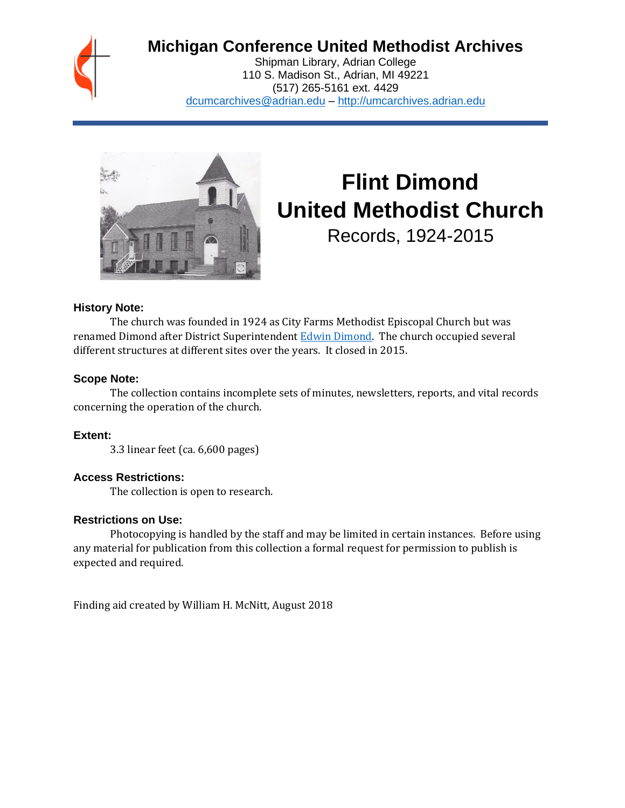

# **Michigan Conference United Methodist Archives**

Shipman Library, Adrian College 110 S. Madison St., Adrian, MI 49221 (517) 265-5161 ext. 4429 [dcumcarchives@adrian.edu](mailto:dcumcarchives@adrian.edu) – [http://umcarchives.adrian.edu](http://umcarchives.adrian.edu/)



# **Flint Dimond United Methodist Church**

Records, 1924-2015

### **History Note:**

The church was founded in 1924 as City Farms Methodist Episcopal Church but was renamed Dimond after District Superintendent [Edwin Dimond.](http://umcarchives.adrian.edu/clergy/dimonded.php) The church occupied several different structures at different sites over the years. It closed in 2015.

### **Scope Note:**

The collection contains incomplete sets of minutes, newsletters, reports, and vital records concerning the operation of the church.

**Extent:**

3.3 linear feet (ca. 6,600 pages)

### **Access Restrictions:**

The collection is open to research.

### **Restrictions on Use:**

Photocopying is handled by the staff and may be limited in certain instances. Before using any material for publication from this collection a formal request for permission to publish is expected and required.

Finding aid created by William H. McNitt, August 2018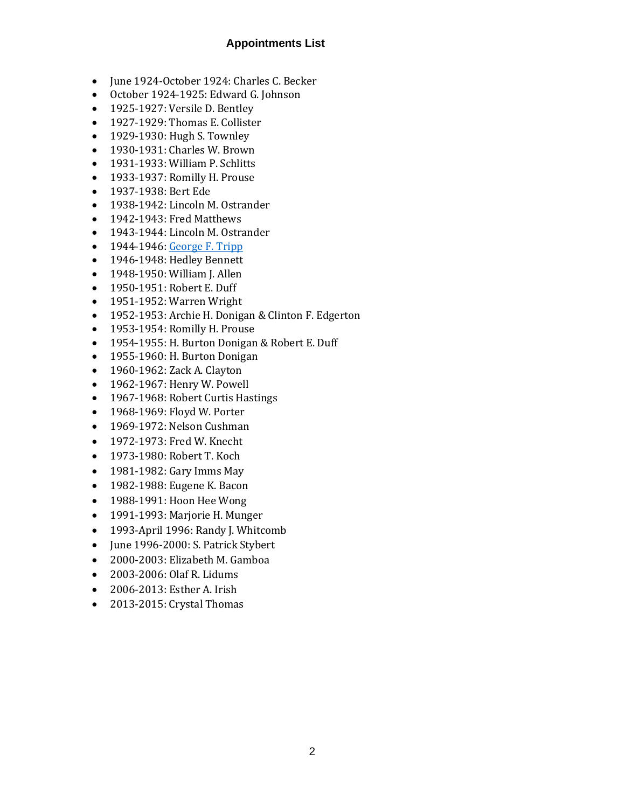# **Appointments List**

- June 1924-October 1924: Charles C. Becker
- October 1924-1925: Edward G. Johnson
- 1925-1927: Versile D. Bentley
- 1927-1929: Thomas E. Collister
- 1929-1930: Hugh S. Townley
- 1930-1931: Charles W. Brown
- 1931-1933: William P. Schlitts
- 1933-1937: Romilly H. Prouse
- 1937-1938: Bert Ede
- 1938-1942: Lincoln M. Ostrander
- 1942-1943: Fred Matthews
- 1943-1944: Lincoln M. Ostrander
- $\bullet$  1944-1946[: George F. Tripp](http://umcarchives.adrian.edu/clergy/trippgf.php)
- 1946-1948: Hedley Bennett
- 1948-1950: William J. Allen
- 1950-1951: Robert E. Duff
- 1951-1952: Warren Wright
- 1952-1953: Archie H. Donigan & Clinton F. Edgerton
- 1953-1954: Romilly H. Prouse
- 1954-1955: H. Burton Donigan & Robert E. Duff
- 1955-1960: H. Burton Donigan
- 1960-1962: Zack A. Clayton
- 1962-1967: Henry W. Powell
- 1967-1968: Robert Curtis Hastings
- 1968-1969: Floyd W. Porter
- 1969-1972: Nelson Cushman
- 1972-1973: Fred W. Knecht
- 1973-1980: Robert T. Koch
- 1981-1982: Gary Imms May
- 1982-1988: Eugene K. Bacon
- 1988-1991: Hoon Hee Wong
- 1991-1993: Marjorie H. Munger
- 1993-April 1996: Randy J. Whitcomb
- June 1996-2000: S. Patrick Stybert
- 2000-2003: Elizabeth M. Gamboa
- 2003-2006: Olaf R. Lidums
- 2006-2013: Esther A. Irish
- 2013-2015: Crystal Thomas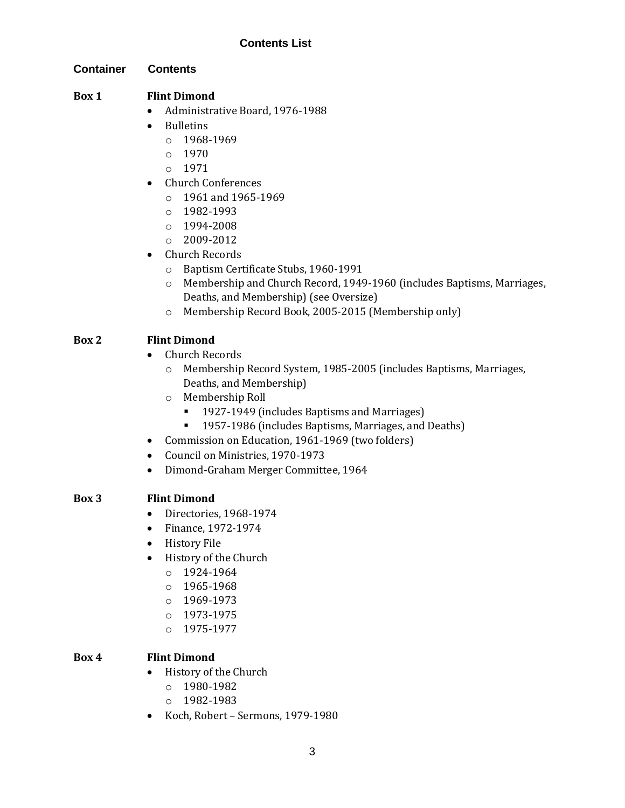# **Contents List**

#### **Container Contents**

#### **Box 1 Flint Dimond**

- Administrative Board, 1976-1988
- Bulletins
	- o 1968-1969
	- o 1970
	- o 1971
- Church Conferences
	- o 1961 and 1965-1969
	- o 1982-1993
	- o 1994-2008
	- $O = 2009 2012$
- Church Records
	- o Baptism Certificate Stubs, 1960-1991
	- o Membership and Church Record, 1949-1960 (includes Baptisms, Marriages, Deaths, and Membership) (see Oversize)
	- o Membership Record Book, 2005-2015 (Membership only)

# **Box 2 Flint Dimond**

- Church Records
	- o Membership Record System, 1985-2005 (includes Baptisms, Marriages, Deaths, and Membership)
	- o Membership Roll
		- 1927-1949 (includes Baptisms and Marriages)
		- 1957-1986 (includes Baptisms, Marriages, and Deaths)
- Commission on Education, 1961-1969 (two folders)
- Council on Ministries, 1970-1973
- Dimond-Graham Merger Committee, 1964

# **Box 3 Flint Dimond**

- Directories, 1968-1974
- Finance, 1972-1974
- History File
- History of the Church
	- o 1924-1964
	- o 1965-1968
	- o 1969-1973
	- $O$  1973-1975
	- o 1975-1977

# **Box 4 Flint Dimond**

- History of the Church
	- o 1980-1982
	- o 1982-1983
- Koch, Robert Sermons, 1979-1980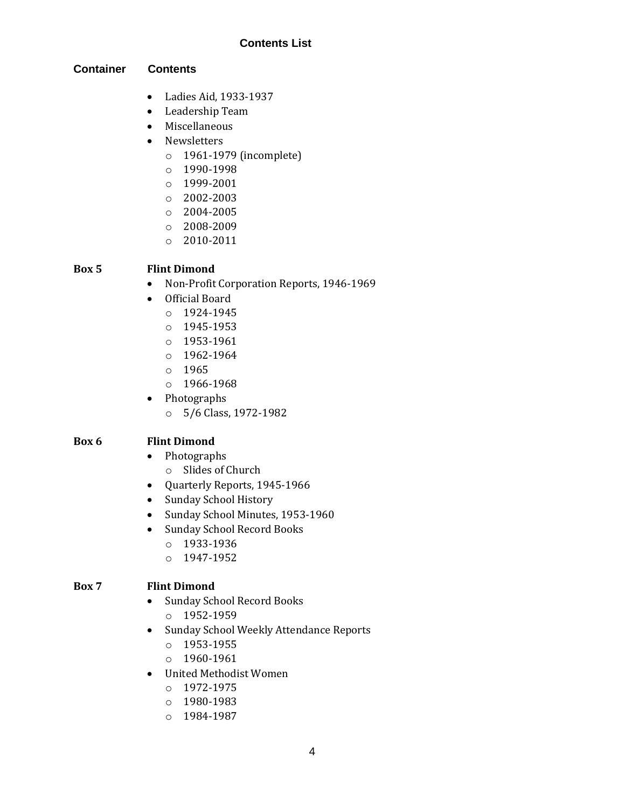# **Contents List**

### **Container Contents**

- Ladies Aid, 1933-1937
- Leadership Team
- Miscellaneous
- Newsletters
	- o 1961-1979 (incomplete)
	- o 1990-1998
	- o 1999-2001
	- o 2002-2003
	- o 2004-2005
	- o 2008-2009
	- o 2010-2011

# **Box 5 Flint Dimond**

- Non-Profit Corporation Reports, 1946-1969
- Official Board
	- o 1924-1945
	- o 1945-1953
	- o 1953-1961
	- $0.1962 1964$
	- o 1965
	- o 1966-1968
- Photographs
	- o 5/6 Class, 1972-1982

### **Box 6 Flint Dimond**

- Photographs
	- o Slides of Church
- Quarterly Reports, 1945-1966
- Sunday School History
- Sunday School Minutes, 1953-1960
- Sunday School Record Books
	- o 1933-1936
	- o 1947-1952

### **Box 7 Flint Dimond**

- Sunday School Record Books
	- o 1952-1959
- Sunday School Weekly Attendance Reports
	- o 1953-1955
	- o 1960-1961
- United Methodist Women
	- o 1972-1975
	- o 1980-1983
	- o 1984-1987